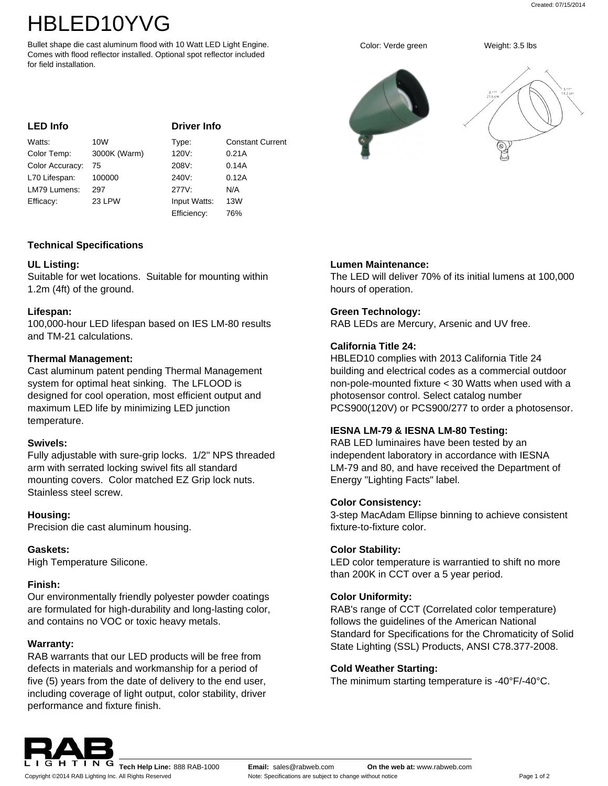# HBLED10YVG

Bullet shape die cast aluminum flood with 10 Watt LED Light Engine. Comes with flood reflector installed. Optional spot reflector included for field installation.

#### **LED Info**

**Driver Info**

| Watts:          | 10 <sub>W</sub> | Type:        | <b>Constant Current</b> |
|-----------------|-----------------|--------------|-------------------------|
| Color Temp:     | 3000K (Warm)    | 120V:        | 0.21A                   |
| Color Accuracy: | 75              | 208V.        | 0.14A                   |
| L70 Lifespan:   | 100000          | 240V.        | 0.12A                   |
| LM79 Lumens:    | 297             | 277V:        | N/A                     |
| Efficacy:       | 23 LPW          | Input Watts: | 13W                     |
|                 |                 | Efficiency:  | 76%                     |

## **Technical Specifications**

## **UL Listing:**

Suitable for wet locations. Suitable for mounting within 1.2m (4ft) of the ground.

## **Lifespan:**

100,000-hour LED lifespan based on IES LM-80 results and TM-21 calculations.

## **Thermal Management:**

Cast aluminum patent pending Thermal Management system for optimal heat sinking. The LFLOOD is designed for cool operation, most efficient output and maximum LED life by minimizing LED junction temperature.

## **Swivels:**

Fully adjustable with sure-grip locks. 1/2" NPS threaded arm with serrated locking swivel fits all standard mounting covers. Color matched EZ Grip lock nuts. Stainless steel screw.

## **Housing:**

Precision die cast aluminum housing.

## **Gaskets:**

High Temperature Silicone.

## **Finish:**

Our environmentally friendly polyester powder coatings are formulated for high-durability and long-lasting color, and contains no VOC or toxic heavy metals.

## **Warranty:**

RAB warrants that our LED products will be free from defects in materials and workmanship for a period of five (5) years from the date of delivery to the end user, including coverage of light output, color stability, driver performance and fixture finish.

## **Lumen Maintenance:**

The LED will deliver 70% of its initial lumens at 100,000 hours of operation.

## **Green Technology:**

RAB LEDs are Mercury, Arsenic and UV free.

## **California Title 24:**

HBLED10 complies with 2013 California Title 24 building and electrical codes as a commercial outdoor non-pole-mounted fixture < 30 Watts when used with a photosensor control. Select catalog number PCS900(120V) or PCS900/277 to order a photosensor.

## **IESNA LM-79 & IESNA LM-80 Testing:**

RAB LED luminaires have been tested by an independent laboratory in accordance with IESNA LM-79 and 80, and have received the Department of Energy "Lighting Facts" label.

## **Color Consistency:**

3-step MacAdam Ellipse binning to achieve consistent fixture-to-fixture color.

## **Color Stability:**

LED color temperature is warrantied to shift no more than 200K in CCT over a 5 year period.

## **Color Uniformity:**

RAB's range of CCT (Correlated color temperature) follows the guidelines of the American National Standard for Specifications for the Chromaticity of Solid State Lighting (SSL) Products, ANSI C78.377-2008.

## **Cold Weather Starting:**

The minimum starting temperature is -40°F/-40°C.



Copyright ©2014 RAB Lighting Inc. All Rights Reserved



.<br>14.3 сп